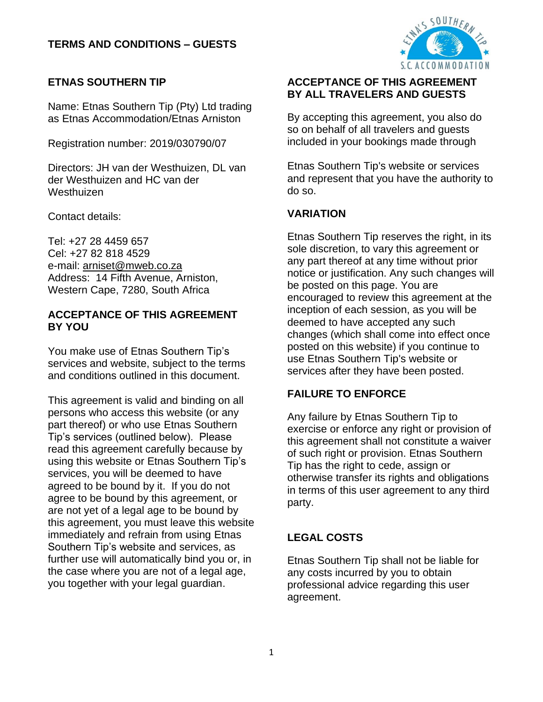

# **ETNAS SOUTHERN TIP**

Name: Etnas Southern Tip (Pty) Ltd trading as Etnas Accommodation/Etnas Arniston

Registration number: 2019/030790/07

Directors: JH van der Westhuizen, DL van der Westhuizen and HC van der Westhuizen

Contact details:

Tel: +27 28 4459 657 Cel: +27 82 818 4529 e-mail: [arniset@mweb.co.za](mailto:arniset@mweb.co.za) Address: 14 Fifth Avenue, Arniston, Western Cape, 7280, South Africa

#### **ACCEPTANCE OF THIS AGREEMENT BY YOU**

You make use of Etnas Southern Tip's services and website, subject to the terms and conditions outlined in this document.

This agreement is valid and binding on all persons who access this website (or any part thereof) or who use Etnas Southern Tip's services (outlined below). Please read this agreement carefully because by using this website or Etnas Southern Tip's services, you will be deemed to have agreed to be bound by it. If you do not agree to be bound by this agreement, or are not yet of a legal age to be bound by this agreement, you must leave this website immediately and refrain from using Etnas Southern Tip's website and services, as further use will automatically bind you or, in the case where you are not of a legal age, you together with your legal guardian.

## **ACCEPTANCE OF THIS AGREEMENT BY ALL TRAVELERS AND GUESTS**

By accepting this agreement, you also do so on behalf of all travelers and guests included in your bookings made through

Etnas Southern Tip's website or services and represent that you have the authority to do so.

## **VARIATION**

Etnas Southern Tip reserves the right, in its sole discretion, to vary this agreement or any part thereof at any time without prior notice or justification. Any such changes will be posted on this page. You are encouraged to review this agreement at the inception of each session, as you will be deemed to have accepted any such changes (which shall come into effect once posted on this website) if you continue to use Etnas Southern Tip's website or services after they have been posted.

## **FAILURE TO ENFORCE**

Any failure by Etnas Southern Tip to exercise or enforce any right or provision of this agreement shall not constitute a waiver of such right or provision. Etnas Southern Tip has the right to cede, assign or otherwise transfer its rights and obligations in terms of this user agreement to any third party.

# **LEGAL COSTS**

Etnas Southern Tip shall not be liable for any costs incurred by you to obtain professional advice regarding this user agreement.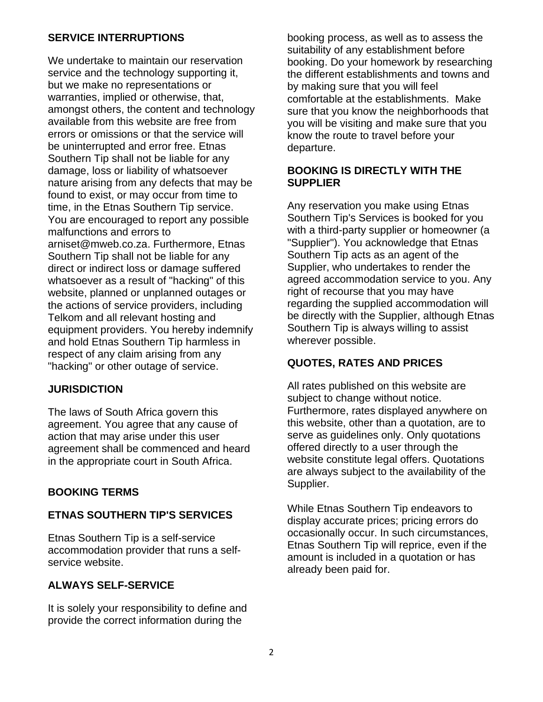## **SERVICE INTERRUPTIONS**

We undertake to maintain our reservation service and the technology supporting it, but we make no representations or warranties, implied or otherwise, that, amongst others, the content and technology available from this website are free from errors or omissions or that the service will be uninterrupted and error free. Etnas Southern Tip shall not be liable for any damage, loss or liability of whatsoever nature arising from any defects that may be found to exist, or may occur from time to time, in the Etnas Southern Tip service. You are encouraged to report any possible malfunctions and errors to arniset@mweb.co.za. Furthermore, Etnas Southern Tip shall not be liable for any direct or indirect loss or damage suffered whatsoever as a result of "hacking" of this website, planned or unplanned outages or the actions of service providers, including Telkom and all relevant hosting and equipment providers. You hereby indemnify and hold Etnas Southern Tip harmless in respect of any claim arising from any "hacking" or other outage of service.

### **JURISDICTION**

The laws of South Africa govern this agreement. You agree that any cause of action that may arise under this user agreement shall be commenced and heard in the appropriate court in South Africa.

## **BOOKING TERMS**

### **ETNAS SOUTHERN TIP'S SERVICES**

Etnas Southern Tip is a self-service accommodation provider that runs a selfservice website.

### **ALWAYS SELF-SERVICE**

It is solely your responsibility to define and provide the correct information during the

booking process, as well as to assess the suitability of any establishment before booking. Do your homework by researching the different establishments and towns and by making sure that you will feel comfortable at the establishments. Make sure that you know the neighborhoods that you will be visiting and make sure that you know the route to travel before your departure.

### **BOOKING IS DIRECTLY WITH THE SUPPLIER**

Any reservation you make using Etnas Southern Tip's Services is booked for you with a third-party supplier or homeowner (a "Supplier"). You acknowledge that Etnas Southern Tip acts as an agent of the Supplier, who undertakes to render the agreed accommodation service to you. Any right of recourse that you may have regarding the supplied accommodation will be directly with the Supplier, although Etnas Southern Tip is always willing to assist wherever possible.

## **QUOTES, RATES AND PRICES**

All rates published on this website are subject to change without notice. Furthermore, rates displayed anywhere on this website, other than a quotation, are to serve as quidelines only. Only quotations offered directly to a user through the website constitute legal offers. Quotations are always subject to the availability of the Supplier.

While Etnas Southern Tip endeavors to display accurate prices; pricing errors do occasionally occur. In such circumstances, Etnas Southern Tip will reprice, even if the amount is included in a quotation or has already been paid for.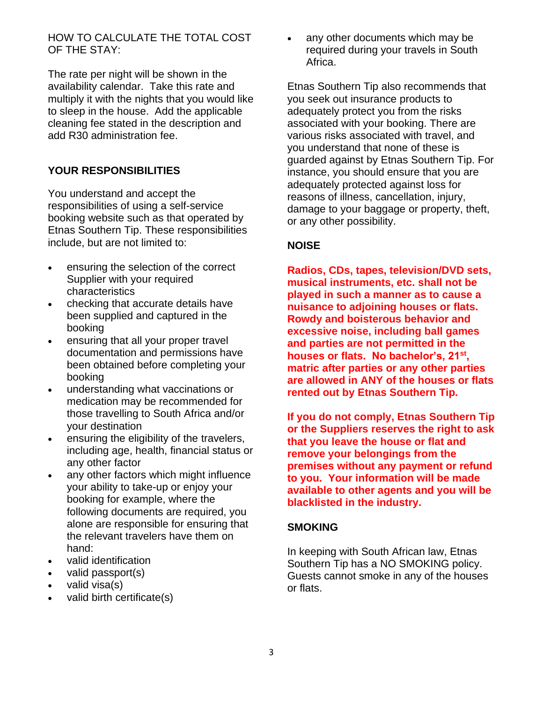HOW TO CALCULATE THE TOTAL COST OF THE STAY:

The rate per night will be shown in the availability calendar. Take this rate and multiply it with the nights that you would like to sleep in the house. Add the applicable cleaning fee stated in the description and add R30 administration fee.

### **YOUR RESPONSIBILITIES**

You understand and accept the responsibilities of using a self-service booking website such as that operated by Etnas Southern Tip. These responsibilities include, but are not limited to:

- ensuring the selection of the correct Supplier with your required characteristics
- checking that accurate details have been supplied and captured in the booking
- ensuring that all your proper travel documentation and permissions have been obtained before completing your booking
- understanding what vaccinations or medication may be recommended for those travelling to South Africa and/or your destination
- ensuring the eligibility of the travelers, including age, health, financial status or any other factor
- any other factors which might influence your ability to take-up or enjoy your booking for example, where the following documents are required, you alone are responsible for ensuring that the relevant travelers have them on hand:
- valid identification
- valid passport(s)
- valid visa(s)
- valid birth certificate(s)

any other documents which may be required during your travels in South Africa.

Etnas Southern Tip also recommends that you seek out insurance products to adequately protect you from the risks associated with your booking. There are various risks associated with travel, and you understand that none of these is guarded against by Etnas Southern Tip. For instance, you should ensure that you are adequately protected against loss for reasons of illness, cancellation, injury, damage to your baggage or property, theft, or any other possibility.

### **NOISE**

**Radios, CDs, tapes, television/DVD sets, musical instruments, etc. shall not be played in such a manner as to cause a nuisance to adjoining houses or flats. Rowdy and boisterous behavior and excessive noise, including ball games and parties are not permitted in the houses or flats. No bachelor's, 21st , matric after parties or any other parties are allowed in ANY of the houses or flats rented out by Etnas Southern Tip.**

**If you do not comply, Etnas Southern Tip or the Suppliers reserves the right to ask that you leave the house or flat and remove your belongings from the premises without any payment or refund to you. Your information will be made available to other agents and you will be blacklisted in the industry.**

### **SMOKING**

In keeping with South African law, Etnas Southern Tip has a NO SMOKING policy. Guests cannot smoke in any of the houses or flats.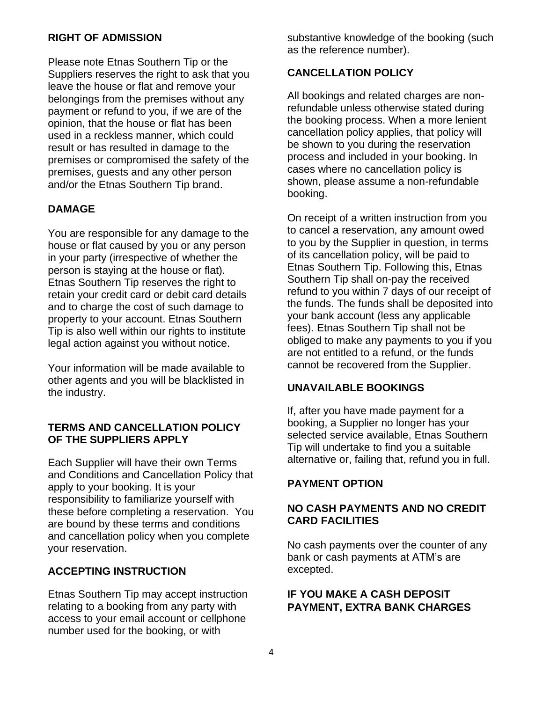## **RIGHT OF ADMISSION**

Please note Etnas Southern Tip or the Suppliers reserves the right to ask that you leave the house or flat and remove your belongings from the premises without any payment or refund to you, if we are of the opinion, that the house or flat has been used in a reckless manner, which could result or has resulted in damage to the premises or compromised the safety of the premises, guests and any other person and/or the Etnas Southern Tip brand.

## **DAMAGE**

You are responsible for any damage to the house or flat caused by you or any person in your party (irrespective of whether the person is staying at the house or flat). Etnas Southern Tip reserves the right to retain your credit card or debit card details and to charge the cost of such damage to property to your account. Etnas Southern Tip is also well within our rights to institute legal action against you without notice.

Your information will be made available to other agents and you will be blacklisted in the industry.

#### **TERMS AND CANCELLATION POLICY OF THE SUPPLIERS APPLY**

Each Supplier will have their own Terms and Conditions and Cancellation Policy that apply to your booking. It is your responsibility to familiarize yourself with these before completing a reservation. You are bound by these terms and conditions and cancellation policy when you complete your reservation.

### **ACCEPTING INSTRUCTION**

Etnas Southern Tip may accept instruction relating to a booking from any party with access to your email account or cellphone number used for the booking, or with

substantive knowledge of the booking (such as the reference number).

## **CANCELLATION POLICY**

All bookings and related charges are nonrefundable unless otherwise stated during the booking process. When a more lenient cancellation policy applies, that policy will be shown to you during the reservation process and included in your booking. In cases where no cancellation policy is shown, please assume a non-refundable booking.

On receipt of a written instruction from you to cancel a reservation, any amount owed to you by the Supplier in question, in terms of its cancellation policy, will be paid to Etnas Southern Tip. Following this, Etnas Southern Tip shall on-pay the received refund to you within 7 days of our receipt of the funds. The funds shall be deposited into your bank account (less any applicable fees). Etnas Southern Tip shall not be obliged to make any payments to you if you are not entitled to a refund, or the funds cannot be recovered from the Supplier.

### **UNAVAILABLE BOOKINGS**

If, after you have made payment for a booking, a Supplier no longer has your selected service available, Etnas Southern Tip will undertake to find you a suitable alternative or, failing that, refund you in full.

### **PAYMENT OPTION**

## **NO CASH PAYMENTS AND NO CREDIT CARD FACILITIES**

No cash payments over the counter of any bank or cash payments at ATM's are excepted.

## **IF YOU MAKE A CASH DEPOSIT PAYMENT, EXTRA BANK CHARGES**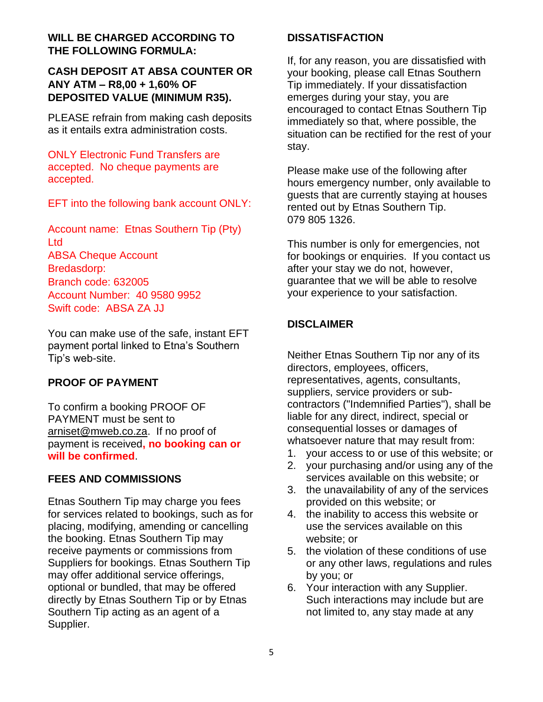## **WILL BE CHARGED ACCORDING TO THE FOLLOWING FORMULA:**

## **CASH DEPOSIT AT ABSA COUNTER OR ANY ATM – R8,00 + 1,60% OF DEPOSITED VALUE (MINIMUM R35).**

PLEASE refrain from making cash deposits as it entails extra administration costs.

ONLY Electronic Fund Transfers are accepted. No cheque payments are accepted.

EFT into the following bank account ONLY:

Account name: Etnas Southern Tip (Pty) Ltd ABSA Cheque Account Bredasdorp: Branch code: 632005 Account Number: 40 9580 9952 Swift code: ABSA ZA JJ

You can make use of the safe, instant EFT payment portal linked to Etna's Southern Tip's web-site.

## **PROOF OF PAYMENT**

To confirm a booking PROOF OF PAYMENT must be sent to [arniset@mweb.co.za.](mailto:arniset@mweb.co.za) If no proof of payment is received**, no booking can or will be confirmed**.

## **FEES AND COMMISSIONS**

Etnas Southern Tip may charge you fees for services related to bookings, such as for placing, modifying, amending or cancelling the booking. Etnas Southern Tip may receive payments or commissions from Suppliers for bookings. Etnas Southern Tip may offer additional service offerings, optional or bundled, that may be offered directly by Etnas Southern Tip or by Etnas Southern Tip acting as an agent of a Supplier.

### **DISSATISFACTION**

If, for any reason, you are dissatisfied with your booking, please call Etnas Southern Tip immediately. If your dissatisfaction emerges during your stay, you are encouraged to contact Etnas Southern Tip immediately so that, where possible, the situation can be rectified for the rest of your stay.

Please make use of the following after hours emergency number, only available to guests that are currently staying at houses rented out by Etnas Southern Tip. 079 805 1326.

This number is only for emergencies, not for bookings or enquiries. If you contact us after your stay we do not, however, guarantee that we will be able to resolve your experience to your satisfaction.

# **DISCLAIMER**

Neither Etnas Southern Tip nor any of its directors, employees, officers, representatives, agents, consultants, suppliers, service providers or subcontractors ("Indemnified Parties"), shall be liable for any direct, indirect, special or consequential losses or damages of whatsoever nature that may result from:

- 1. your access to or use of this website; or
- 2. your purchasing and/or using any of the services available on this website; or
- 3. the unavailability of any of the services provided on this website; or
- 4. the inability to access this website or use the services available on this website; or
- 5. the violation of these conditions of use or any other laws, regulations and rules by you; or
- 6. Your interaction with any Supplier. Such interactions may include but are not limited to, any stay made at any